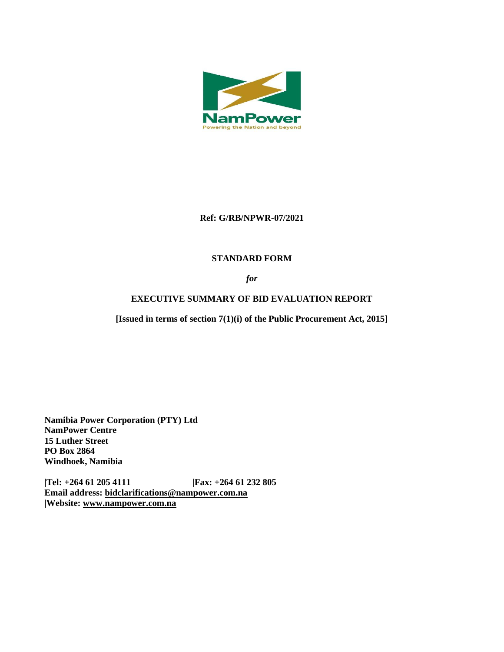

### **Ref: G/RB/NPWR-07/2021**

# **STANDARD FORM**

*for*

# **EXECUTIVE SUMMARY OF BID EVALUATION REPORT**

**[Issued in terms of section 7(1)(i) of the Public Procurement Act, 2015]** 

**Namibia Power Corporation (PTY) Ltd NamPower Centre 15 Luther Street PO Box 2864 Windhoek, Namibia**

**|Tel: +264 61 205 4111 |Fax: +264 61 232 805 Email address: [bidclarifications@nampower.com.na](mailto:bidclarifications@nampower.com.na) |Website: [www.n](http://www./)ampower.com.na**